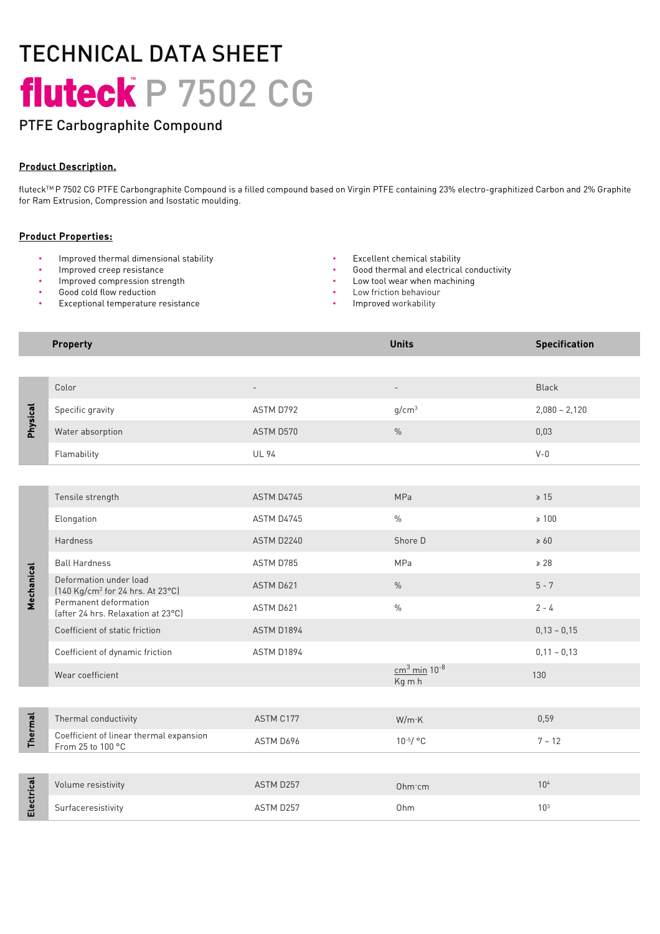# TECHNICAL DATA SHEET fluteck P 7502 CG

# PTFE Carbographite Compound

### Product Description.

fluteckTM P 7502 CG PTFE Carbongraphite Compound is a filled compound based on Virgin PTFE containing 23% electro-graphitized Carbon and 2% Graphite for Ram Extrusion, Compression and Isostatic moulding.

### Product Properties:

- Improved thermal dimensional stability Excellent chemical stability
- 
- Improved compression strength
- Good cold flow reduction
- Exceptional temperature resistance
- 
- Improved creep resistance **•** Good thermal and electrical conductivity
	- Low tool wear when machining
	- Low friction behaviour
	- Improved workability

#### **Property Contract Contract Contract Contract Contract Contract Contract Contract Contract Contract Contract Contract Contract Contract Contract Contract Contract Contract Contract Contract Contract Contract Contract Con**

| <b>Physical</b> | Color                                                                  | $\overline{\phantom{a}}$ | $\overline{\phantom{0}}$             | Black           |
|-----------------|------------------------------------------------------------------------|--------------------------|--------------------------------------|-----------------|
|                 | Specific gravity                                                       | ASTM D792                | q/cm <sup>3</sup>                    | $2,080 - 2,120$ |
|                 | Water absorption                                                       | ASTM D570                | $\frac{0}{0}$                        | 0,03            |
|                 | Flamability                                                            | <b>UL 94</b>             |                                      | $V - 0$         |
|                 |                                                                        |                          |                                      |                 |
| Mechanical      | Tensile strength                                                       | ASTM D4745               | MPa                                  | $\geq 15$       |
|                 | Elongation                                                             | ASTM D4745               | $\frac{0}{0}$                        | $\geq 100$      |
|                 | Hardness                                                               | ASTM D2240               | Shore D                              | $\geq 60$       |
|                 | <b>Ball Hardness</b>                                                   | ASTM D785                | MPa                                  | $\geq 28$       |
|                 | Deformation under load<br>[140 Kg/cm <sup>2</sup> for 24 hrs. At 23°C] | ASTM D621                | $\%$                                 | $5 - 7$         |
|                 | Permanent deformation<br>(after 24 hrs. Relaxation at 23°C)            | ASTM D621                | $\frac{0}{0}$                        | $2 - 4$         |
|                 | Coefficient of static friction                                         | ASTM D1894               |                                      | $0,13 - 0,15$   |
|                 | Coefficient of dynamic friction                                        | ASTM D1894               |                                      | $0,11 - 0,13$   |
|                 | Wear coefficient                                                       |                          | $cm3$ min 10 <sup>-8</sup><br>Kg m h | 130             |
|                 |                                                                        |                          |                                      |                 |
| <b>Thermal</b>  | Thermal conductivity                                                   | ASTM C177                | W/m K                                | 0,59            |
|                 | Coefficient of linear thermal expansion<br>From 25 to 100 °C           | ASTM D696                | $10^{-5}/$ °C                        | $7 - 12$        |
|                 |                                                                        |                          |                                      |                 |
| Electrical      | Volume resistivity                                                     | ASTM D257                | Ohm·cm                               | 10 <sup>4</sup> |
|                 | Surfaceresistivity                                                     | ASTM D257                | Ohm                                  | 10 <sup>3</sup> |
|                 |                                                                        |                          |                                      |                 |
|                 |                                                                        |                          |                                      |                 |
|                 |                                                                        |                          |                                      |                 |
|                 |                                                                        |                          |                                      |                 |